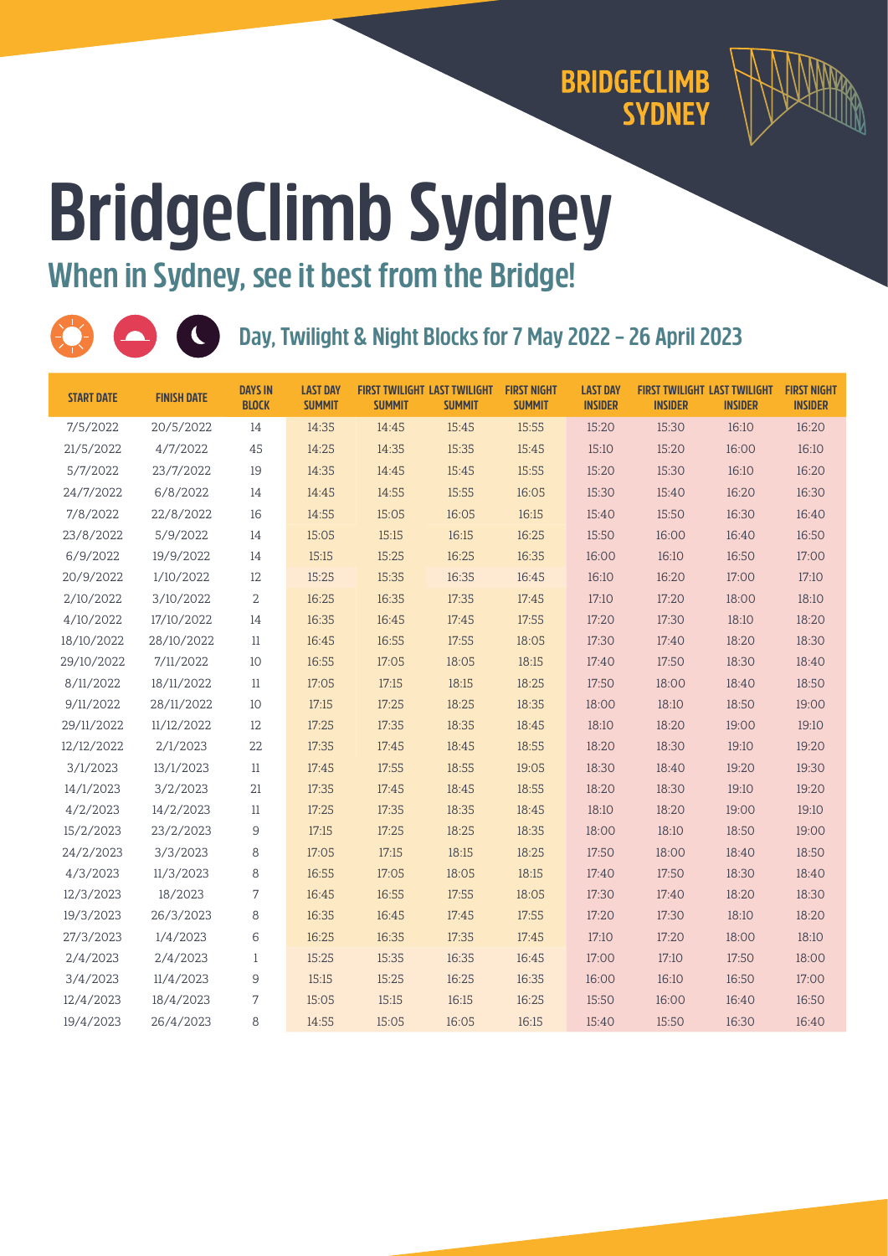

## **BridgeClimb Sydney When in Sydney, see it best from the Bridge!**

**2022 – 26 April 2023** 

| <b>START DATE</b> | <b>FINISH DATE</b> | <b>DAYS IN</b><br><b>BLOCK</b> | <b>LAST DAY</b><br><b>SUMMIT</b> | <b>FIRST TWILIGHT LAST TWILIGHT</b><br><b>SUMMIT</b> | <b>SUMMIT</b> | <b>FIRST NIGHT</b><br><b>SUMMIT</b> | <b>LAST DAY</b><br><b>INSIDER</b> | <b>INSIDER</b> | <b>FIRST TWILIGHT LAST TWILIGHT</b><br><b>INSIDER</b> | <b>FIRST NIGHT</b><br><b>INSIDER</b> |
|-------------------|--------------------|--------------------------------|----------------------------------|------------------------------------------------------|---------------|-------------------------------------|-----------------------------------|----------------|-------------------------------------------------------|--------------------------------------|
| 7/5/2022          | 20/5/2022          | 14                             | 14:35                            | 14:45                                                | 15:45         | 15:55                               | 15:20                             | 15:30          | 16:10                                                 | 16:20                                |
| 21/5/2022         | 4/7/2022           | 45                             | 14:25                            | 14:35                                                | 15:35         | 15:45                               | 15:10                             | 15:20          | 16:00                                                 | 16:10                                |
| 5/7/2022          | 23/7/2022          | 19                             | 14:35                            | 14:45                                                | 15:45         | 15:55                               | 15:20                             | 15:30          | 16:10                                                 | 16:20                                |
| 24/7/2022         | 6/8/2022           | 14                             | 14:45                            | 14:55                                                | 15:55         | 16:05                               | 15:30                             | 15:40          | 16:20                                                 | 16:30                                |
| 7/8/2022          | 22/8/2022          | 16                             | 14:55                            | 15:05                                                | 16:05         | 16:15                               | 15:40                             | 15:50          | 16:30                                                 | 16:40                                |
| 23/8/2022         | 5/9/2022           | 14                             | 15:05                            | 15:15                                                | 16:15         | 16:25                               | 15:50                             | 16:00          | 16:40                                                 | 16:50                                |
| 6/9/2022          | 19/9/2022          | 14                             | 15:15                            | 15:25                                                | 16:25         | 16:35                               | 16:00                             | 16:10          | 16:50                                                 | 17:00                                |
| 20/9/2022         | 1/10/2022          | 12                             | 15:25                            | 15:35                                                | 16:35         | 16:45                               | 16:10                             | 16:20          | 17:00                                                 | 17:10                                |
| 2/10/2022         | 3/10/2022          | 2                              | 16:25                            | 16:35                                                | 17:35         | 17:45                               | 17:10                             | 17:20          | 18:00                                                 | 18:10                                |
| 4/10/2022         | 17/10/2022         | 14                             | 16:35                            | 16:45                                                | 17:45         | 17:55                               | 17:20                             | 17:30          | 18:10                                                 | 18:20                                |
| 18/10/2022        | 28/10/2022         | 11                             | 16:45                            | 16:55                                                | 17:55         | 18:05                               | 17:30                             | 17:40          | 18:20                                                 | 18:30                                |
| 29/10/2022        | 7/11/2022          | 10                             | 16:55                            | 17:05                                                | 18:05         | 18:15                               | 17:40                             | 17:50          | 18:30                                                 | 18:40                                |
| 8/11/2022         | 18/11/2022         | 11                             | 17:05                            | 17:15                                                | 18:15         | 18:25                               | 17:50                             | 18:00          | 18:40                                                 | 18:50                                |
| 9/11/2022         | 28/11/2022         | 10                             | 17:15                            | 17:25                                                | 18:25         | 18:35                               | 18:00                             | 18:10          | 18:50                                                 | 19:00                                |
| 29/11/2022        | 11/12/2022         | 12                             | 17:25                            | 17:35                                                | 18:35         | 18:45                               | 18:10                             | 18:20          | 19:00                                                 | 19:10                                |
| 12/12/2022        | 2/1/2023           | 22                             | 17:35                            | 17:45                                                | 18:45         | 18:55                               | 18:20                             | 18:30          | 19:10                                                 | 19:20                                |
| 3/1/2023          | 13/1/2023          | 11                             | 17:45                            | 17:55                                                | 18:55         | 19:05                               | 18:30                             | 18:40          | 19:20                                                 | 19:30                                |
| 14/1/2023         | 3/2/2023           | 21                             | 17:35                            | 17:45                                                | 18:45         | 18:55                               | 18:20                             | 18:30          | 19:10                                                 | 19:20                                |
| 4/2/2023          | 14/2/2023          | 11                             | 17:25                            | 17:35                                                | 18:35         | 18:45                               | 18:10                             | 18:20          | 19:00                                                 | 19:10                                |
| 15/2/2023         | 23/2/2023          | 9                              | 17:15                            | 17:25                                                | 18:25         | 18:35                               | 18:00                             | 18:10          | 18:50                                                 | 19:00                                |
| 24/2/2023         | 3/3/2023           | 8                              | 17:05                            | 17:15                                                | 18:15         | 18:25                               | 17:50                             | 18:00          | 18:40                                                 | 18:50                                |
| 4/3/2023          | 11/3/2023          | 8                              | 16:55                            | 17:05                                                | 18:05         | 18:15                               | 17:40                             | 17:50          | 18:30                                                 | 18:40                                |
| 12/3/2023         | 18/2023            | 7                              | 16:45                            | 16:55                                                | 17:55         | 18:05                               | 17:30                             | 17:40          | 18:20                                                 | 18:30                                |
| 19/3/2023         | 26/3/2023          | 8                              | 16:35                            | 16:45                                                | 17:45         | 17:55                               | 17:20                             | 17:30          | 18:10                                                 | 18:20                                |
| 27/3/2023         | 1/4/2023           | 6                              | 16:25                            | 16:35                                                | 17:35         | 17:45                               | 17:10                             | 17:20          | 18:00                                                 | 18:10                                |
| 2/4/2023          | 2/4/2023           | $\mathbf{1}$                   | 15:25                            | 15:35                                                | 16:35         | 16:45                               | 17:00                             | 17:10          | 17:50                                                 | 18:00                                |
| 3/4/2023          | 11/4/2023          | 9                              | 15:15                            | 15:25                                                | 16:25         | 16:35                               | 16:00                             | 16:10          | 16:50                                                 | 17:00                                |
| 12/4/2023         | 18/4/2023          | 7                              | 15:05                            | 15:15                                                | 16:15         | 16:25                               | 15:50                             | 16:00          | 16:40                                                 | 16:50                                |
| 19/4/2023         | 26/4/2023          | 8                              | 14:55                            | 15:05                                                | 16:05         | 16:15                               | 15:40                             | 15:50          | 16:30                                                 | 16:40                                |